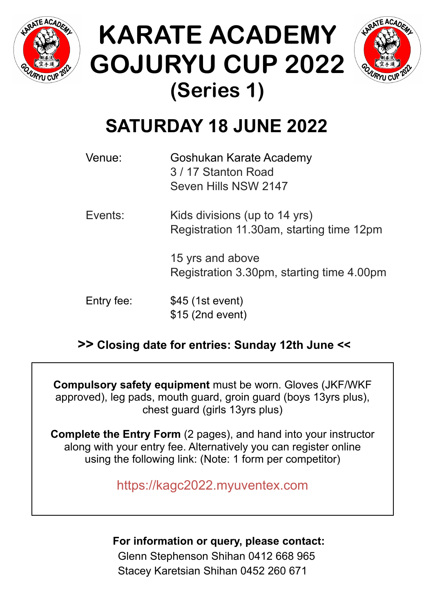

## **KARATE ACADEMY GOJURYU CUP 2022 (Series 1)**



## **SATURDAY 18 JUNE 2022**

| Venue:     | Goshukan Karate Academy<br>3/17 Stanton Road<br>Seven Hills NSW 2147      |
|------------|---------------------------------------------------------------------------|
| Events:    | Kids divisions (up to 14 yrs)<br>Registration 11.30am, starting time 12pm |
|            | 15 yrs and above<br>Registration 3.30pm, starting time 4.00pm             |
| Entry fee: | \$45 (1st event)<br>$$15$ (2nd event)                                     |

#### **>> Closing date for entries: Sunday 12th June <<**

**Compulsory safety equipment** must be worn. Gloves (JKF/WKF approved), leg pads, mouth guard, groin guard (boys 13yrs plus), chest guard (girls 13yrs plus)

**Complete the Entry Form** (2 pages), and hand into your instructor along with your entry fee. Alternatively you can register online using the following link: (Note: 1 form per competitor)

https://kagc2022.myuventex.com

**For information or query, please contact:**

Glenn Stephenson Shihan 0412 668 965 Stacey Karetsian Shihan 0452 260 671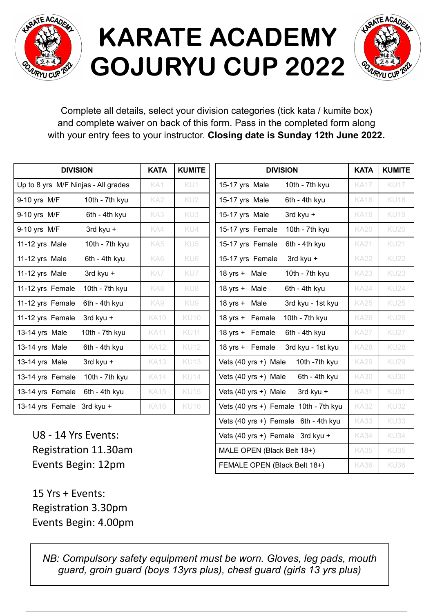

# **KARATE ACADEMY GOJURYU CUP 2022**



Complete all details, select your division categories (tick kata / kumite box) and complete waiver on back of this form. Pass in the completed form along with your entry fees to your instructor. **Closing date is Sunday 12th June 2022.** 

| <b>DIVISION</b>                     | <b>KATA</b>    | <b>KUMITE</b>   |                 |
|-------------------------------------|----------------|-----------------|-----------------|
| Up to 8 yrs M/F Ninjas - All grades |                | KA1             | KU1             |
| 9-10 yrs M/F                        | 10th - 7th kyu | KA <sub>2</sub> | KU <sub>2</sub> |
| 9-10 yrs M/F                        | 6th - 4th kyu  | KA3             | KU3             |
| 9-10 yrs M/F                        | 3rd kyu +      | KA4             | KU4             |
| 11-12 yrs Male                      | 10th - 7th kyu | KA <sub>5</sub> | KU <sub>5</sub> |
| 11-12 yrs Male                      | 6th - 4th kyu  | KA6             | KU6             |
| 11-12 yrs Male                      | 3rd kyu +      | KA7             | KU7             |
| 11-12 yrs Female                    | 10th - 7th kyu | KA8             | KU8             |
| 11-12 yrs Female                    | 6th - 4th kyu  | KA9             | KU9             |
| 11-12 yrs Female                    | 3rd kyu +      | <b>KA10</b>     | <b>KU10</b>     |
| 13-14 yrs Male                      | 10th - 7th kyu | <b>KA11</b>     | <b>KU11</b>     |
| 13-14 yrs Male                      | 6th - 4th kyu  | <b>KA12</b>     | <b>KU12</b>     |
| 13-14 yrs Male                      | 3rd kyu +      | <b>KA13</b>     | <b>KU13</b>     |
| 13-14 yrs Female                    | 10th - 7th kyu | <b>KA14</b>     | <b>KU14</b>     |
| 13-14 yrs Female                    | 6th - 4th kyu  | <b>KA15</b>     | <b>KU15</b>     |
| 13-14 yrs Female                    | 3rd kyu $+$    | <b>KA16</b>     | <b>KU16</b>     |

| <b>DIVISION</b>                                 | <b>KATA</b> | <b>KUMITE</b> |
|-------------------------------------------------|-------------|---------------|
| 15-17 yrs Male<br>10th - 7th kyu                | <b>KA17</b> | <b>KU17</b>   |
| 15-17 yrs Male<br>6th - 4th kyu                 | <b>KA18</b> | <b>KU18</b>   |
| 15-17 yrs Male<br>3rd kyu $+$                   | <b>KA19</b> | <b>KU19</b>   |
| 15-17 yrs Female 10th - 7th kyu                 | <b>KA20</b> | <b>KU20</b>   |
| 15-17 yrs Female<br>6th - 4th kyu               | <b>KA21</b> | <b>KU21</b>   |
| 15-17 yrs Female<br>3rd kyu $+$                 | <b>KA22</b> | <b>KU22</b>   |
| 10th - 7th kyu<br>18 yrs + Male                 | <b>KA23</b> | <b>KU23</b>   |
| 18 yrs + Male<br>6th - 4th kyu                  | <b>KA24</b> | <b>KU24</b>   |
| 18 yrs + Male<br>3rd kyu - 1st kyu              | <b>KA25</b> | <b>KU25</b>   |
| 18 yrs + Female<br>10th - 7th kyu               | <b>KA26</b> | <b>KU26</b>   |
| 18 yrs + Female<br>6th - 4th kyu                | <b>KA27</b> | <b>KU27</b>   |
| 18 yrs + Female 3rd kyu - 1st kyu               | <b>KA28</b> | <b>KU28</b>   |
| Vets $(40 \text{ yrs} +)$ Male<br>10th -7th kyu | <b>KA29</b> | <b>KU29</b>   |
| Vets $(40 \text{ yrs} +)$ Male 6th - 4th kyu    | <b>KA30</b> | <b>KU30</b>   |
| Vets $(40 \text{ yrs} +)$ Male 3rd kyu +        | <b>KA31</b> | <b>KU31</b>   |
| Vets (40 yrs +) Female 10th - 7th kyu           | <b>KA32</b> | <b>KU32</b>   |
| Vets (40 yrs +) Female 6th - 4th kyu            | <b>KA33</b> | KU33          |
| Vets (40 yrs +) Female 3rd kyu +                | <b>KA34</b> | KU34          |
| MALE OPEN (Black Belt 18+)                      | <b>KA35</b> | <b>KU35</b>   |
| FEMALE OPEN (Black Belt 18+)                    | <b>KA36</b> | <b>KU36</b>   |

U8 - 14 Yrs Events: Registration 11.30am Events Begin: 12pm

15 Yrs + Events: Registration 3.30pm Events Begin: 4.00pm

*NB: Compulsory safety equipment must be worn. Gloves, leg pads, mouth guard, groin guard (boys 13yrs plus), chest guard (girls 13 yrs plus)*